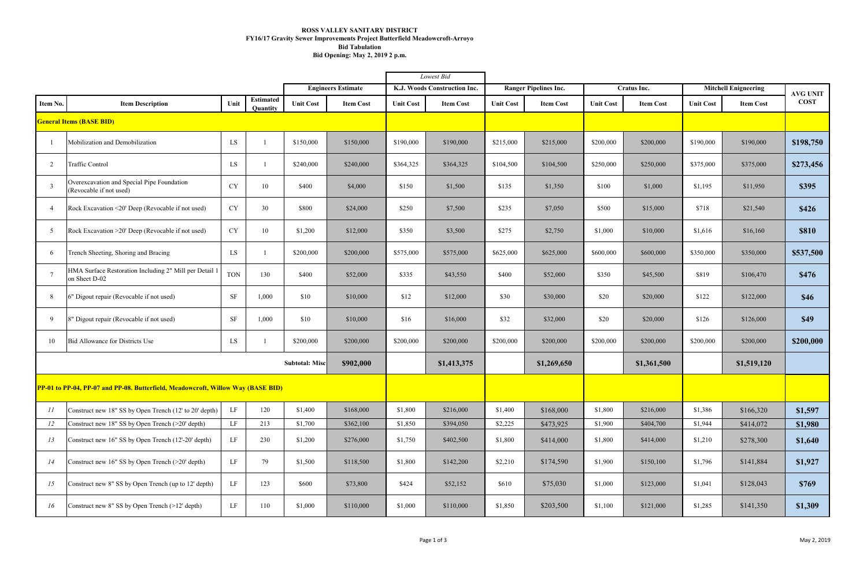|                                                                                  |                                                                       |            |                              |                           |                  | Lowest Bid                   |                  |                              |                  |                  |                  |                             |                  |                 |
|----------------------------------------------------------------------------------|-----------------------------------------------------------------------|------------|------------------------------|---------------------------|------------------|------------------------------|------------------|------------------------------|------------------|------------------|------------------|-----------------------------|------------------|-----------------|
|                                                                                  |                                                                       |            |                              | <b>Engineers Estimate</b> |                  | K.J. Woods Construction Inc. |                  | <b>Ranger Pipelines Inc.</b> |                  | Cratus Inc.      |                  | <b>Mitchell Enigneering</b> |                  | <b>AVG UNIT</b> |
| Item No.                                                                         | <b>Item Description</b>                                               | Unit       | <b>Estimated</b><br>Quantity | <b>Unit Cost</b>          | <b>Item Cost</b> | <b>Unit Cost</b>             | <b>Item Cost</b> | <b>Unit Cost</b>             | <b>Item Cost</b> | <b>Unit Cost</b> | <b>Item Cost</b> | <b>Unit Cost</b>            | <b>Item Cost</b> | <b>COST</b>     |
|                                                                                  | <b>General Items (BASE BID)</b>                                       |            |                              |                           |                  |                              |                  |                              |                  |                  |                  |                             |                  |                 |
|                                                                                  | Mobilization and Demobilization                                       | LS         |                              | \$150,000                 | \$150,000        | \$190,000                    | \$190,000        | \$215,000                    | \$215,000        | \$200,000        | \$200,000        | \$190,000                   | \$190,000        | \$198,750       |
| 2                                                                                | <b>Traffic Control</b>                                                | LS         |                              | \$240,000                 | \$240,000        | \$364,325                    | \$364,325        | \$104,500                    | \$104,500        | \$250,000        | \$250,000        | \$375,000                   | \$375,000        | \$273,456       |
| 3                                                                                | Overexcavation and Special Pipe Foundation<br>(Revocable if not used) | CY         | 10                           | \$400                     | \$4,000          | \$150                        | \$1,500          | \$135                        | \$1,350          | \$100            | \$1,000          | \$1,195                     | \$11,950         | \$395           |
| $\overline{4}$                                                                   | Rock Excavation <20' Deep (Revocable if not used)                     | <b>CY</b>  | 30                           | \$800                     | \$24,000         | \$250                        | \$7,500          | \$235                        | \$7,050          | \$500            | \$15,000         | \$718                       | \$21,540         | \$426           |
| 5                                                                                | Rock Excavation > 20' Deep (Revocable if not used)                    | CY         | 10                           | \$1,200                   | \$12,000         | \$350                        | \$3,500          | \$275                        | \$2,750          | \$1,000          | \$10,000         | \$1,616                     | \$16,160         | <b>\$810</b>    |
| 6                                                                                | Trench Sheeting, Shoring and Bracing                                  | LS         |                              | \$200,000                 | \$200,000        | \$575,000                    | \$575,000        | \$625,000                    | \$625,000        | \$600,000        | \$600,000        | \$350,000                   | \$350,000        | \$537,500       |
|                                                                                  | HMA Surface Restoration Including 2" Mill per Detail<br>on Sheet D-02 | <b>TON</b> | 130                          | \$400                     | \$52,000         | \$335                        | \$43,550         | \$400                        | \$52,000         | \$350            | \$45,500         | \$819                       | \$106,470        | \$476           |
| 8                                                                                | 6" Digout repair (Revocable if not used)                              | SF         | 1,000                        | \$10                      | \$10,000         | \$12                         | \$12,000         | \$30                         | \$30,000         | \$20             | \$20,000         | \$122                       | \$122,000        | \$46            |
| 9                                                                                | 8" Digout repair (Revocable if not used)                              | $\rm SF$   | 1,000                        | \$10                      | \$10,000         | \$16                         | \$16,000         | \$32                         | \$32,000         | \$20             | \$20,000         | \$126                       | \$126,000        | \$49            |
| 10                                                                               | Bid Allowance for Districts Use                                       | LS         |                              | \$200,000                 | \$200,000        | \$200,000                    | \$200,000        | \$200,000                    | \$200,000        | \$200,000        | \$200,000        | \$200,000                   | \$200,000        | \$200,000       |
| \$902,000<br><b>Subtotal: Misc</b>                                               |                                                                       |            |                              |                           |                  |                              | \$1,413,375      |                              | \$1,269,650      |                  | \$1,361,500      |                             | \$1,519,120      |                 |
| PP-01 to PP-04, PP-07 and PP-08. Butterfield, Meadowcroft, Willow Way (BASE BID) |                                                                       |            |                              |                           |                  |                              |                  |                              |                  |                  |                  |                             |                  |                 |
| II                                                                               | Construct new 18" SS by Open Trench (12' to 20' depth)                | LF         | 120                          | \$1,400                   | \$168,000        | \$1,800                      | \$216,000        | \$1,400                      | \$168,000        | \$1,800          | \$216,000        | \$1,386                     | \$166,320        | \$1,597         |
| 12                                                                               | Construct new 18" SS by Open Trench (>20' depth)                      | LF         | 213                          | \$1,700                   | \$362,100        | \$1,850                      | \$394,050        | \$2,225                      | \$473,925        | \$1,900          | \$404,700        | \$1,944                     | \$414,072        | \$1,980         |
| 13                                                                               | Construct new 16" SS by Open Trench (12'-20' depth)                   | LF         | 230                          | \$1,200                   | \$276,000        | \$1,750                      | \$402,500        | \$1,800                      | \$414,000        | \$1,800          | \$414,000        | \$1,210                     | \$278,300        | \$1,640         |
| 14                                                                               | Construct new 16" SS by Open Trench (>20' depth)                      | LF         | 79                           | \$1,500                   | \$118,500        | \$1,800                      | \$142,200        | \$2,210                      | \$174,590        | \$1,900          | \$150,100        | \$1,796                     | \$141,884        | \$1,927         |
| 15                                                                               | Construct new 8" SS by Open Trench (up to 12' depth)                  | LF         | 123                          | \$600                     | \$73,800         | \$424                        | \$52,152         | \$610                        | \$75,030         | \$1,000          | \$123,000        | \$1,041                     | \$128,043        | \$769           |
| 16                                                                               | Construct new 8" SS by Open Trench (>12' depth)                       | LF         | 110                          | \$1,000                   | \$110,000        | \$1,000                      | \$110,000        | \$1,850                      | \$203,500        | \$1,100          | \$121,000        | \$1,285                     | \$141,350        | \$1,309         |

## **ROSS VALLEY SANITARY DISTRICT FY16/17 Gravity Sewer Improvements Project Butterfield Meadowcroft-Arroyo Bid Tabulation Bid Opening: May 2, 2019 2 p.m.**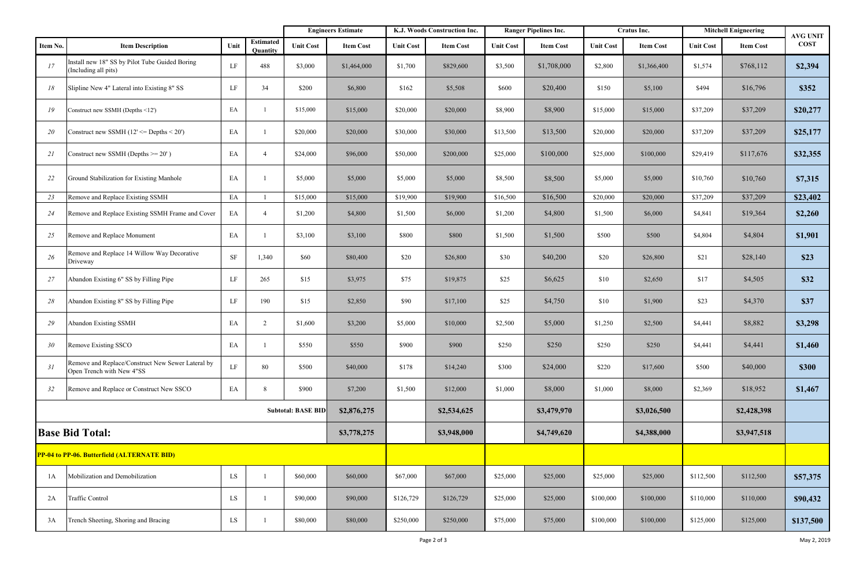|                                             |                                                                                |                                          | <b>Engineers Estimate</b>    |                  | K.J. Woods Construction Inc. |                  | <b>Ranger Pipelines Inc.</b> |                  | Cratus Inc.      |                  | <b>Mitchell Enigneering</b> |                  | <b>AVG UNIT</b>  |              |
|---------------------------------------------|--------------------------------------------------------------------------------|------------------------------------------|------------------------------|------------------|------------------------------|------------------|------------------------------|------------------|------------------|------------------|-----------------------------|------------------|------------------|--------------|
| Item No.                                    | <b>Item Description</b>                                                        | Unit                                     | <b>Estimated</b><br>Quantity | <b>Unit Cost</b> | <b>Item Cost</b>             | <b>Unit Cost</b> | <b>Item Cost</b>             | <b>Unit Cost</b> | <b>Item Cost</b> | <b>Unit Cost</b> | <b>Item Cost</b>            | <b>Unit Cost</b> | <b>Item Cost</b> | <b>COST</b>  |
| 17                                          | Install new 18" SS by Pilot Tube Guided Boring<br>(Including all pits)         | LF                                       | 488                          | \$3,000          | \$1,464,000                  | \$1,700          | \$829,600                    | \$3,500          | \$1,708,000      | \$2,800          | \$1,366,400                 | \$1,574          | \$768,112        | \$2,394      |
| 18                                          | Slipline New 4" Lateral into Existing 8" SS                                    | LF                                       | 34                           | \$200            | \$6,800                      | \$162            | \$5,508                      | \$600            | \$20,400         | \$150            | \$5,100                     | \$494            | \$16,796         | \$352        |
| 19                                          | Construct new SSMH (Depths <12')                                               | EA                                       |                              | \$15,000         | \$15,000                     | \$20,000         | \$20,000                     | \$8,900          | \$8,900          | \$15,000         | \$15,000                    | \$37,209         | \$37,209         | \$20,277     |
| <i>20</i>                                   | Construct new SSMH $(12' \leq$ Depths $\leq 20'$ )                             | EA                                       |                              | \$20,000         | \$20,000                     | \$30,000         | \$30,000                     | \$13,500         | \$13,500         | \$20,000         | \$20,000                    | \$37,209         | \$37,209         | \$25,177     |
| 21                                          | Construct new SSMH (Depths $>= 20'$ )                                          | EA                                       | $\overline{4}$               | \$24,000         | \$96,000                     | \$50,000         | \$200,000                    | \$25,000         | \$100,000        | \$25,000         | \$100,000                   | \$29,419         | \$117,676        | \$32,355     |
| 22                                          | Ground Stabilization for Existing Manhole                                      | EA                                       |                              | \$5,000          | \$5,000                      | \$5,000          | \$5,000                      | \$8,500          | \$8,500          | \$5,000          | \$5,000                     | \$10,760         | \$10,760         | \$7,315      |
| 23                                          | Remove and Replace Existing SSMH                                               | EA                                       |                              | \$15,000         | \$15,000                     | \$19,900         | \$19,900                     | \$16,500         | \$16,500         | \$20,000         | \$20,000                    | \$37,209         | \$37,209         | \$23,402     |
| 24                                          | Remove and Replace Existing SSMH Frame and Cover                               | EA                                       | $\overline{4}$               | \$1,200          | \$4,800                      | \$1,500          | \$6,000                      | \$1,200          | \$4,800          | \$1,500          | \$6,000                     | \$4,841          | \$19,364         | \$2,260      |
| 25                                          | Remove and Replace Monument                                                    | EA                                       |                              | \$3,100          | \$3,100                      | \$800            | \$800                        | \$1,500          | \$1,500          | \$500            | \$500                       | \$4,804          | \$4,804          | \$1,901      |
| 26                                          | Remove and Replace 14 Willow Way Decorative<br>Driveway                        | <b>SF</b>                                | 1,340                        | \$60             | \$80,400                     | \$20             | \$26,800                     | \$30             | \$40,200         | \$20             | \$26,800                    | \$21             | \$28,140         | \$23         |
| 27                                          | Abandon Existing 6" SS by Filling Pipe                                         | LF                                       | 265                          | \$15             | \$3,975                      | \$75             | \$19,875                     | \$25             | \$6,625          | \$10             | \$2,650                     | \$17             | \$4,505          | \$32         |
| 28                                          | Abandon Existing 8" SS by Filling Pipe                                         | LF                                       | 190                          | \$15             | \$2,850                      | \$90             | \$17,100                     | \$25             | \$4,750          | \$10             | \$1,900                     | \$23             | \$4,370          | <b>\$37</b>  |
| 29                                          | <b>Abandon Existing SSMH</b>                                                   | EA                                       | $\overline{2}$               | \$1,600          | \$3,200                      | \$5,000          | \$10,000                     | \$2,500          | \$5,000          | \$1,250          | \$2,500                     | \$4,441          | \$8,882          | \$3,298      |
| 30                                          | Remove Existing SSCO                                                           | EA                                       |                              | \$550            | \$550                        | \$900            | \$900                        | \$250            | \$250            | \$250            | \$250                       | \$4,441          | \$4,441          | \$1,460      |
| 31                                          | Remove and Replace/Construct New Sewer Lateral by<br>Open Trench with New 4"SS | LF                                       | 80                           | \$500            | \$40,000                     | \$178            | \$14,240                     | \$300            | \$24,000         | \$220            | \$17,600                    | \$500            | \$40,000         | <b>\$300</b> |
| 32                                          | Remove and Replace or Construct New SSCO                                       | EA                                       | 8                            | \$900            | \$7,200                      | \$1,500          | \$12,000                     | \$1,000          | \$8,000          | \$1,000          | \$8,000                     | \$2,369          | \$18,952         | \$1,467      |
|                                             |                                                                                | <b>Subtotal: BASE BID</b><br>\$2,876,275 |                              | \$2,534,625      |                              | \$3,479,970      |                              | \$3,026,500      |                  | \$2,428,398      |                             |                  |                  |              |
| <b>Base Bid Total:</b>                      |                                                                                |                                          |                              |                  | \$3,778,275                  |                  | \$3,948,000                  |                  | \$4,749,620      |                  | \$4,388,000                 |                  | \$3,947,518      |              |
| PP-04 to PP-06. Butterfield (ALTERNATE BID) |                                                                                |                                          |                              |                  |                              |                  |                              |                  |                  |                  |                             |                  |                  |              |
| 1A                                          | Mobilization and Demobilization                                                | LS                                       |                              | \$60,000         | \$60,000                     | \$67,000         | \$67,000                     | \$25,000         | \$25,000         | \$25,000         | \$25,000                    | \$112,500        | \$112,500        | \$57,375     |
| 2A                                          | Traffic Control                                                                | LS                                       |                              | \$90,000         | \$90,000                     | \$126,729        | \$126,729                    | \$25,000         | \$25,000         | \$100,000        | \$100,000                   | \$110,000        | \$110,000        | \$90,432     |
| 3A                                          | Trench Sheeting, Shoring and Bracing                                           | LS                                       |                              | \$80,000         | \$80,000                     | \$250,000        | \$250,000                    | \$75,000         | \$75,000         | \$100,000        | \$100,000                   | \$125,000        | \$125,000        | \$137,500    |